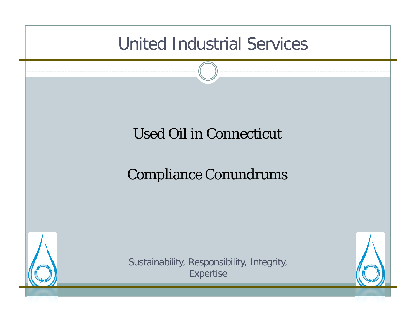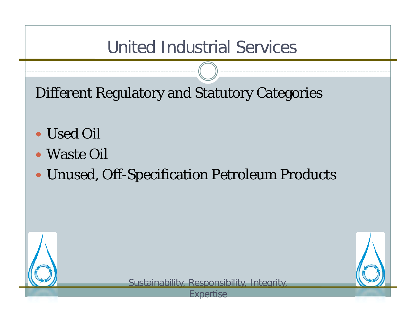Different Regulatory and Statutory Categories

- Used Oil
- Waste Oil
- Unused, Off-Specification Petroleum Products



Sustainability, Responsibility, Integrity,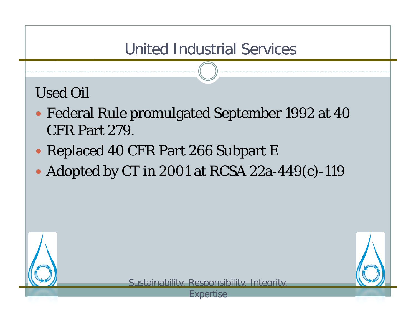Used Oil

- y Federal Rule promulgated September 1992 at 40 CFR Part 279.
- Replaced 40 CFR Part 266 Subpart E
- Adopted by CT in 2001 at RCSA 22a-449(c)-119

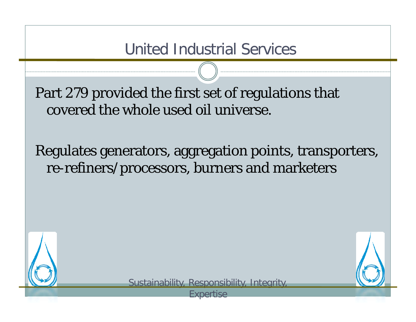Part 279 provided the first set of regulations that covered the whole used oil universe.

Regulates generators, aggregation points, transporters, re-refiners/processors, burners and marketers



Sustainability, Responsibility, Integrity,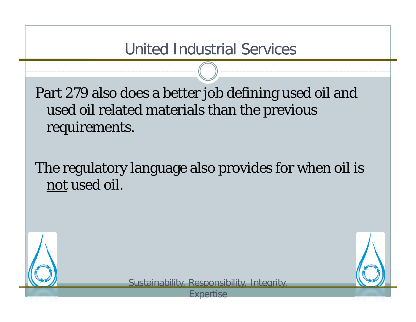Part 279 also does a better job defining used oil and used oil related materials than the previous requirements.

The regulatory language also provides for when oil is not used oil.



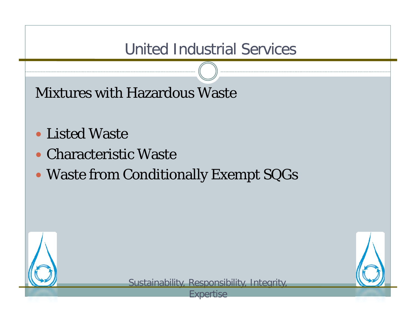Mixtures with Hazardous Waste

- Listed Waste
- Characteristic Waste
- Waste from Conditionally Exempt SQGs



Sustainability, Responsibility, Integrity,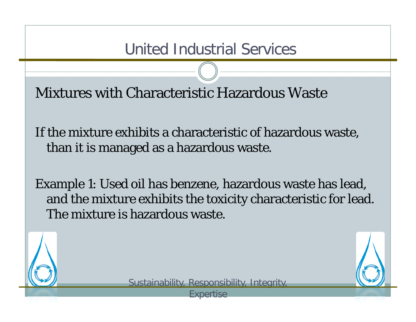Mixtures with Characteristic Hazardous Waste

If the mixture exhibits a characteristic of hazardous waste, than it is managed as a hazardous waste.

Example 1: Used oil has benzene, hazardous waste has lead, and the mixture exhibits the toxicity characteristic for lead. The mixture is hazardous waste.



Sustainability, Responsibility, Integrity,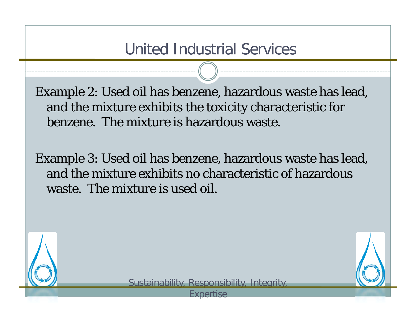Example 2: Used oil has benzene, hazardous waste has lead, and the mixture exhibits the toxicity characteristic for benzene. The mixture is hazardous waste.

Example 3: Used oil has benzene, hazardous waste has lead, and the mixture exhibits no characteristic of hazardous waste. The mixture is used oil.



Sustainability, Responsibility, Integrity,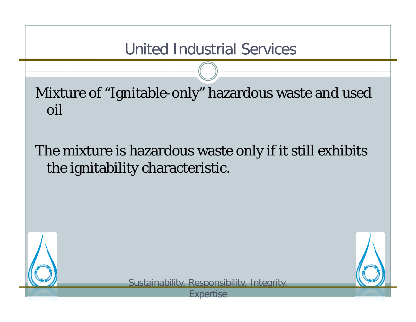Mixture of "I gnitable-onl y" hazardous waste and used oil

# The mixture is hazardous waste only if it still exhibits the ignitability characteristic.





Sustainability, Responsibility, Integrity,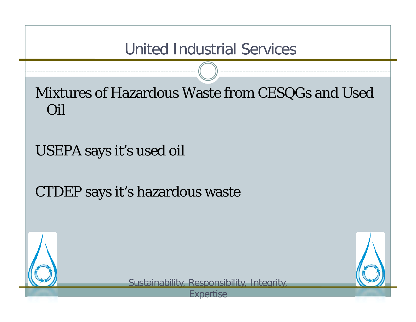Mixtures of Hazardous Waste from CES QGs and Used Oil

USEPA says it's used oil

CTDEP says it's hazardous waste



Sustainability, Responsibility, Integrity,

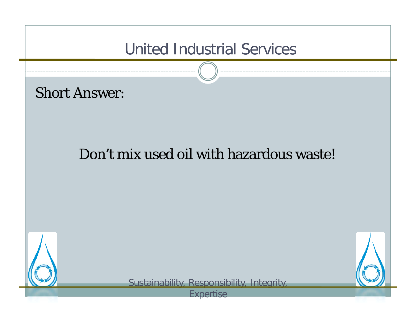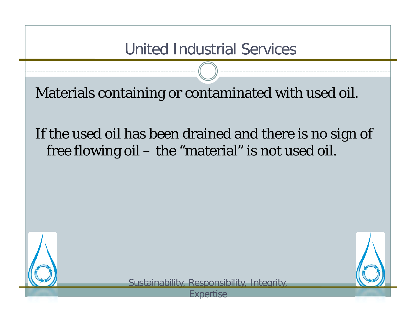Materials containin g or contaminated with used oil.

# If the used oil has been drained and there is no si gn of free flowing oil – the "material" is not used oil.



Sustainability, Responsibility, Integrity,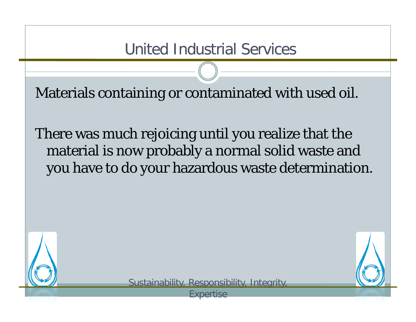Materials containin g or contaminated with used oil.

There was much rejoicing until you realize that the material is now probably a normal solid waste and you have to do your hazardous waste determination.



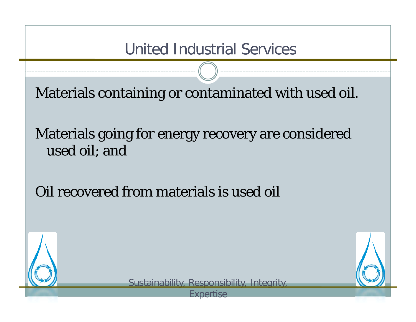Materials containin g or contaminated with used oil.

Materials going for energy recovery are considered used oil; and

Oil recovered from materials is used oil



Sustainability, Responsibility, Integrity,

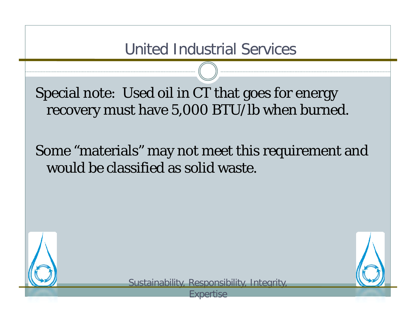Special note: Used oil in CT that goes for energy recovery must have 5,000 BTU/lb when burned.

Some "materials" may not meet this requirement and would be classified as solid waste.



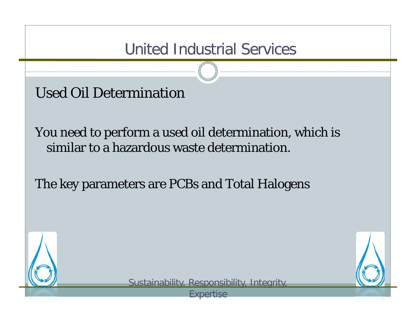Used Oil Determination

You need to perform a used oil determination, which is similar to a hazardous waste determination.

The key parameters are PCBs and Total Halogens



Sustainability, Responsibility, Integrity,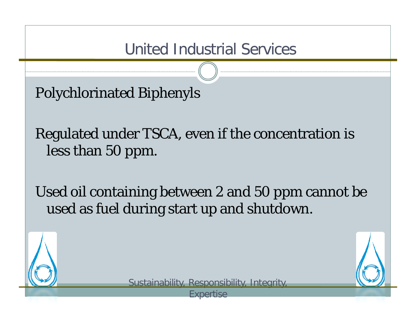Polychlorinated Biphenyls

Regulated under TSCA, even if the concentration is less than 50 ppm.

Used oil containing between 2 and 50 ppm cannot be used as fuel during start up and shutdown.



Sustainability, Responsibility, Integrity,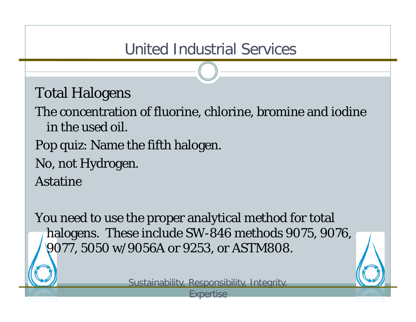Total Halo gens

The concentration of fluorine, chlorine, bromine and iodine in the used oil.

- Pop quiz: Name the fifth halogen.
- No, not Hydrogen.

Astatine

You need to use the proper analytical method for total halogens. These include SW-846 methods 9075, 9076, 9077, 5050 w/9056A or 9253, or ASTM808.

Sustainability, Responsibility, Integrity,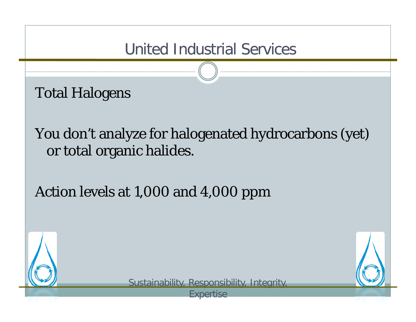Total Halo gens

You don't analyze for halogenated hydrocarbons (yet) or total organic halides.

Action levels at 1,000 and 4,000 ppm



Sustainability, Responsibility, Integrity,

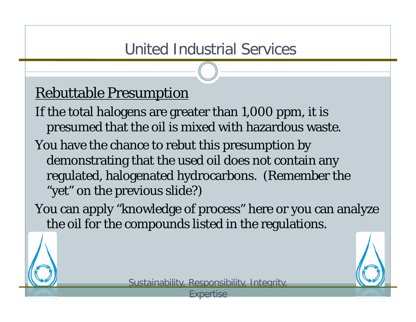# Rebuttable Presum ption

- If the total halogens are greater than 1,000 ppm, it is presumed that the oil is mixed with hazardous waste.
- You have the chance to rebut this presumption by  $\,$ demonstrating that the used oil does not contain any regulated, halogenated hydrocarbons. (Remember the "yet" on the previous slide?)

You can apply "knowledge of process" here or you can analyze the oil for the compounds listed in the regulations.



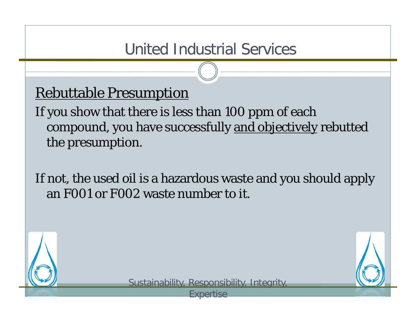### Rebuttable Presum ption

If you show that there is less than 100 ppm of each compound, you have successfully and objectively rebutted the presumption.

If not, the used oil is a hazardous waste and you should apply an F001 or F002 waste number to it.



Sustainability, Responsibility, Integrity,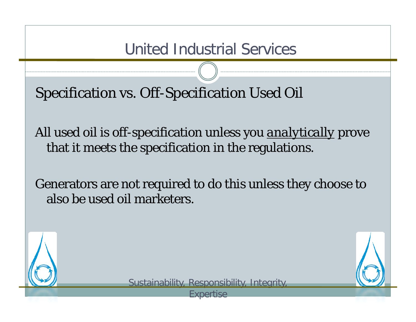S pecification vs. Off-S pecification Used Oil

All used oil is off-specification unless you *analytically* prove that it meets the specification in the regulations.

Generators are not required to do this unless they choose to also be used oil marketers.



Sustainability, Responsibility, Integrity,

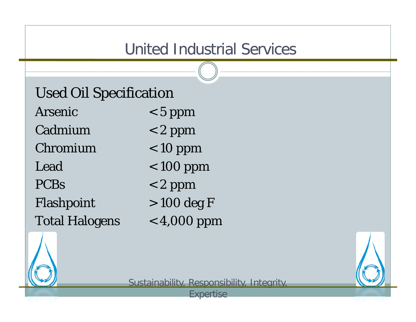| <b>Used Oil Specification</b> |               |
|-------------------------------|---------------|
| Arsenic                       | $< 5$ ppm     |
| Cadmium                       | $< 2$ ppm     |
| Chromium                      | $< 10$ ppm    |
| Lead                          | $< 100$ ppm   |
| <b>PCBs</b>                   | $< 2$ ppm     |
| Flashpoint                    | $> 100$ deg F |
| <b>Total Halogens</b>         | $<$ 4,000 ppm |



Sustainability, Responsibility, Integrity,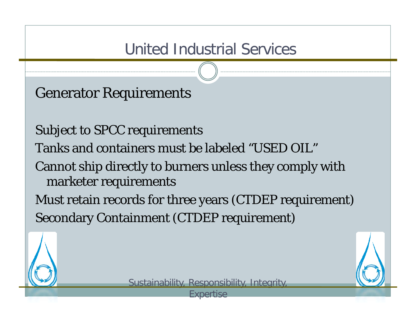Generator Re quirements

Subject to SPCC requirements Tanks and containers must be labeled "USED OIL"Cannot ship directly to burners unless they comply with marketer requirements

Must retain records for three years (CTDEP requirement) Secondary Containment (CTDEP requirement)



Sustainability, Responsibility, Integrity,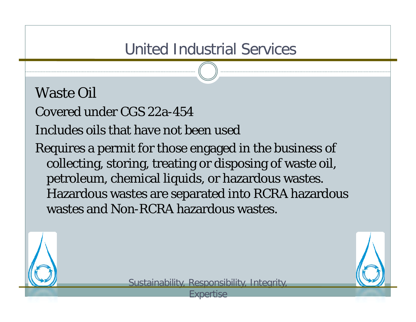#### Waste Oil

Covered under CGS 22a-454

Includes oils that have not been used

Requires a permit for those engaged in the business of collecting, storing, treating or disposing of waste oil, petroleum, chemical liquids, or hazardous wastes. Hazardous wastes are separated into RCRA hazardous wastes and Non-RCRA hazardous wastes.



Sustainability, Responsibility, Integrity,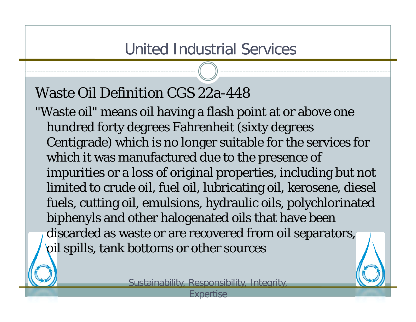#### Waste Oil Definition CGS 22a-448

"Waste oil" means oil having a flash point at or above one hundred forty degrees Fahrenheit (sixty degrees Centigrade) which is no longer suitable for the services for which it was manufactured due to the presence of impurities or a loss of original properties, including but not limited to crude oil, fuel oil, lubricating oil, kerosene, diesel fuels, cutting oil, emulsions, hydraulic oils, polychlorinated biphenyls and other halogenated oils that have been discarded as waste or are recovered from oil separators, oil spills, tank bottoms or other sources

Sustainability, Responsibility, Integrity,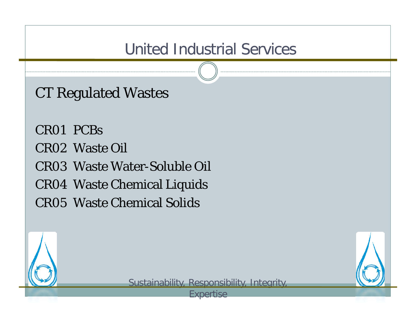CT Re gulated Wastes

CR01 PCBsCR02 Waste Oil CR03 Waste Water-Soluble Oil CR04 Waste Chemical Liquids CR05 Waste Chemical Solids



Sustainability, Responsibility, Integrity,

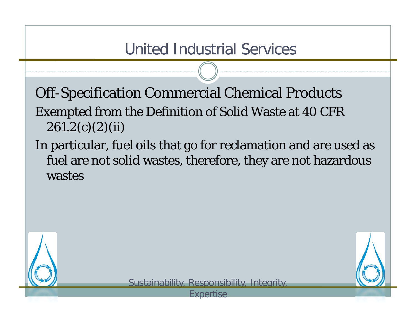Off-S pecification Commercial Chemical Products Exempted from the Definition of Solid Waste at 40 CFR  $261.2(c)(2)(ii)$ 

In particular, fuel oils that go for reclamation and are used as fuel are not solid wastes, therefore, they are not hazardous wastes



Sustainability, Responsibility, Integrity,